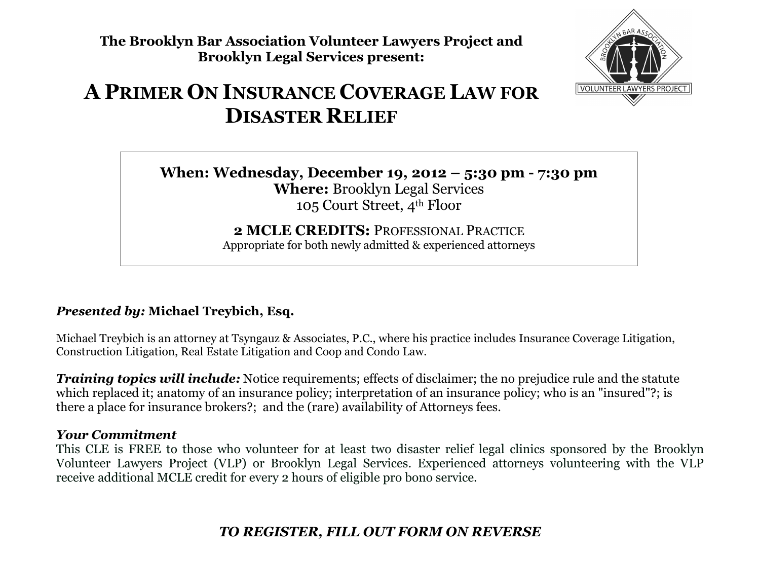**The Brooklyn Bar Association Volunteer Lawyers Project and Brooklyn Legal Services present:** 



# **APRIMER ON INSURANCE COVERAGE LAW FOR DISASTER RELIEF**

**When: Wednesday, December 19, 2012 – 5:30 pm - 7:30 pmWhere:** Brooklyn Legal Services 105 Court Street, 4th Floor

> **2 MCLE CREDITS:** PROFESSIONAL PRACTICEAppropriate for both newly admitted & experienced attorneys

### *Presented by:* **Michael Treybich, Esq.**

Michael Treybich is an attorney at Tsyngauz & Associates, P.C., where his practice includes Insurance Coverage Litigation, Construction Litigation, Real Estate Litigation and Coop and Condo Law.

*Training topics will include:* Notice requirements; effects of disclaimer; the no prejudice rule and the statute which replaced it; anatomy of an insurance policy; interpretation of an insurance policy; who is an "insured"?; is there a place for insurance brokers?; and the (rare) availability of Attorneys fees.

#### *Your Commitment*

 This CLE is FREE to those who volunteer for at least two disaster relief legal clinics sponsored by the Brooklyn Volunteer Lawyers Project (VLP) or Brooklyn Legal Services. Experienced attorneys volunteering with the VLP receive additional MCLE credit for every 2 hours of eligible pro bono service.

## *TO REGISTER, FILL OUT FORM ON REVERSE*